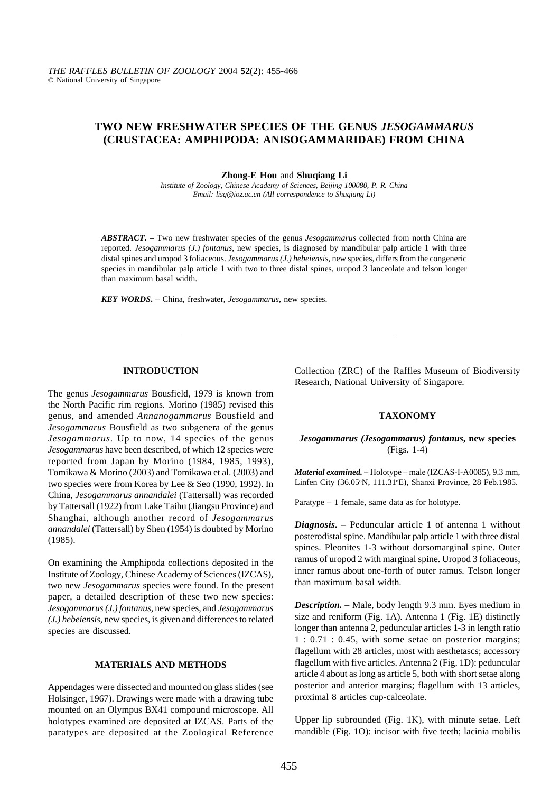# **TWO NEW FRESHWATER SPECIES OF THE GENUS** *JESOGAMMARUS* **(CRUSTACEA: AMPHIPODA: ANISOGAMMARIDAE) FROM CHINA**

**Zhong-E Hou** and **Shuqiang Li**

*Institute of Zoology, Chinese Academy of Sciences, Beijing 100080, P. R. China Email: lisq@ioz.ac.cn (All correspondence to Shuqiang Li)*

*ABSTRACT***. –** Two new freshwater species of the genus *Jesogammarus* collected from north China are reported. *Jesogammarus (J.) fontanus*, new species, is diagnosed by mandibular palp article 1 with three distal spines and uropod 3 foliaceous. *Jesogammarus (J.) hebeiensis*, new species, differs from the congeneric species in mandibular palp article 1 with two to three distal spines, uropod 3 lanceolate and telson longer than maximum basal width.

*KEY WORDS***.** – China, freshwater, *Jesogammarus*, new species.

### **INTRODUCTION**

The genus *Jesogammarus* Bousfield, 1979 is known from the North Pacific rim regions. Morino (1985) revised this genus, and amended *Annanogammarus* Bousfield and *Jesogammarus* Bousfield as two subgenera of the genus *Jesogammarus*. Up to now, 14 species of the genus *Jesogammarus* have been described, of which 12 species were reported from Japan by Morino (1984, 1985, 1993), Tomikawa & Morino (2003) and Tomikawa et al. (2003) and two species were from Korea by Lee & Seo (1990, 1992). In China, *Jesogammarus annandalei* (Tattersall) was recorded by Tattersall (1922) from Lake Taihu (Jiangsu Province) and Shanghai, although another record of *Jesogammarus annandalei* (Tattersall) by Shen (1954) is doubted by Morino (1985).

On examining the Amphipoda collections deposited in the Institute of Zoology, Chinese Academy of Sciences (IZCAS), two new *Jesogammarus* species were found. In the present paper, a detailed description of these two new species: *Jesogammarus (J.) fontanus*, new species, and *Jesogammarus (J.) hebeiensis*, new species, is given and differences to related species are discussed.

## **MATERIALS AND METHODS**

Appendages were dissected and mounted on glass slides (see Holsinger, 1967). Drawings were made with a drawing tube mounted on an Olympus BX41 compound microscope. All holotypes examined are deposited at IZCAS. Parts of the paratypes are deposited at the Zoological Reference Collection (ZRC) of the Raffles Museum of Biodiversity Research, National University of Singapore.

#### **TAXONOMY**

## *Jesogammarus (Jesogammarus) fontanus***, new species** (Figs. 1-4)

*Material examined. –* Holotype – male (IZCAS-I-A0085), 9.3 mm, Linfen City (36.05°N, 111.31°E), Shanxi Province, 28 Feb.1985.

Paratype – 1 female, same data as for holotype.

*Diagnosis. –* Peduncular article 1 of antenna 1 without posterodistal spine. Mandibular palp article 1 with three distal spines. Pleonites 1-3 without dorsomarginal spine. Outer ramus of uropod 2 with marginal spine. Uropod 3 foliaceous, inner ramus about one-forth of outer ramus. Telson longer than maximum basal width.

*Description. –* Male, body length 9.3 mm. Eyes medium in size and reniform (Fig. 1A). Antenna 1 (Fig. 1E) distinctly longer than antenna 2, peduncular articles 1-3 in length ratio 1 : 0.71 : 0.45, with some setae on posterior margins; flagellum with 28 articles, most with aesthetascs; accessory flagellum with five articles. Antenna 2 (Fig. 1D): peduncular article 4 about as long as article 5, both with short setae along posterior and anterior margins; flagellum with 13 articles, proximal 8 articles cup-calceolate.

Upper lip subrounded (Fig. 1K), with minute setae. Left mandible (Fig. 1O): incisor with five teeth; lacinia mobilis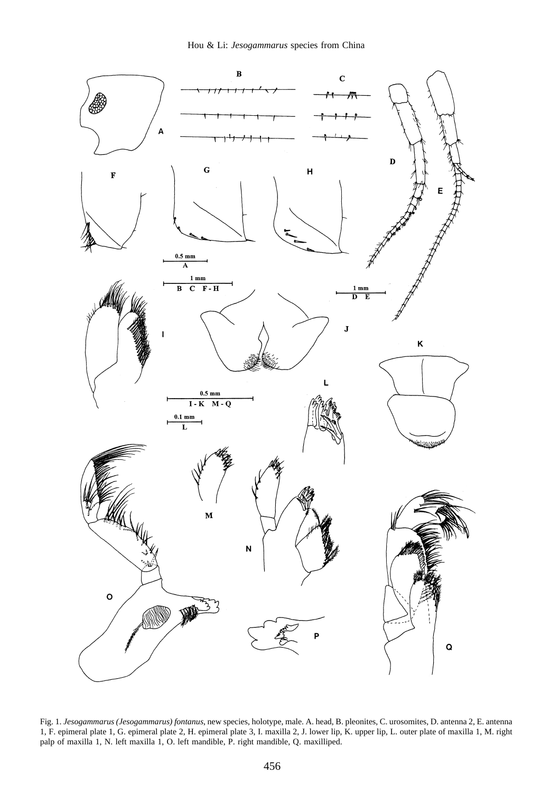

Fig. 1. *Jesogammarus (Jesogammarus) fontanus*, new species, holotype, male. A. head, B. pleonites, C. urosomites, D. antenna 2, E. antenna 1, F. epimeral plate 1, G. epimeral plate 2, H. epimeral plate 3, I. maxilla 2, J. lower lip, K. upper lip, L. outer plate of maxilla 1, M. right palp of maxilla 1, N. left maxilla 1, O. left mandible, P. right mandible, Q. maxilliped.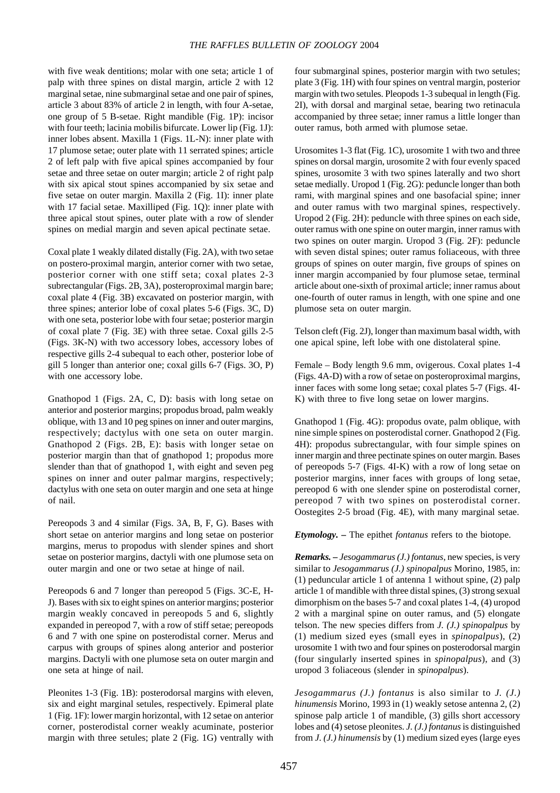with five weak dentitions; molar with one seta; article 1 of palp with three spines on distal margin, article 2 with 12 marginal setae, nine submarginal setae and one pair of spines, article 3 about 83% of article 2 in length, with four A-setae, one group of 5 B-setae. Right mandible (Fig. 1P): incisor with four teeth; lacinia mobilis bifurcate. Lower lip (Fig. 1J): inner lobes absent. Maxilla 1 (Figs. 1L-N): inner plate with 17 plumose setae; outer plate with 11 serrated spines; article 2 of left palp with five apical spines accompanied by four setae and three setae on outer margin; article 2 of right palp with six apical stout spines accompanied by six setae and five setae on outer margin. Maxilla 2 (Fig. 1I): inner plate with 17 facial setae. Maxilliped (Fig. 1Q): inner plate with three apical stout spines, outer plate with a row of slender spines on medial margin and seven apical pectinate setae.

Coxal plate 1 weakly dilated distally (Fig. 2A), with two setae on postero-proximal margin, anterior corner with two setae, posterior corner with one stiff seta; coxal plates 2-3 subrectangular (Figs. 2B, 3A), posteroproximal margin bare; coxal plate 4 (Fig. 3B) excavated on posterior margin, with three spines; anterior lobe of coxal plates 5-6 (Figs. 3C, D) with one seta, posterior lobe with four setae; posterior margin of coxal plate 7 (Fig. 3E) with three setae. Coxal gills 2-5 (Figs. 3K-N) with two accessory lobes, accessory lobes of respective gills 2-4 subequal to each other, posterior lobe of gill 5 longer than anterior one; coxal gills 6-7 (Figs. 3O, P) with one accessory lobe.

Gnathopod 1 (Figs. 2A, C, D): basis with long setae on anterior and posterior margins; propodus broad, palm weakly oblique, with 13 and 10 peg spines on inner and outer margins, respectively; dactylus with one seta on outer margin. Gnathopod 2 (Figs. 2B, E): basis with longer setae on posterior margin than that of gnathopod 1; propodus more slender than that of gnathopod 1, with eight and seven peg spines on inner and outer palmar margins, respectively; dactylus with one seta on outer margin and one seta at hinge of nail.

Pereopods 3 and 4 similar (Figs. 3A, B, F, G). Bases with short setae on anterior margins and long setae on posterior margins, merus to propodus with slender spines and short setae on posterior margins, dactyli with one plumose seta on outer margin and one or two setae at hinge of nail.

Pereopods 6 and 7 longer than pereopod 5 (Figs. 3C-E, H-J). Bases with six to eight spines on anterior margins; posterior margin weakly concaved in pereopods 5 and 6, slightly expanded in pereopod 7, with a row of stiff setae; pereopods 6 and 7 with one spine on posterodistal corner. Merus and carpus with groups of spines along anterior and posterior margins. Dactyli with one plumose seta on outer margin and one seta at hinge of nail.

Pleonites 1-3 (Fig. 1B): posterodorsal margins with eleven, six and eight marginal setules, respectively. Epimeral plate 1 (Fig. 1F): lower margin horizontal, with 12 setae on anterior corner, posterodistal corner weakly acuminate, posterior margin with three setules; plate 2 (Fig. 1G) ventrally with

four submarginal spines, posterior margin with two setules; plate 3 (Fig. 1H) with four spines on ventral margin, posterior margin with two setules. Pleopods 1-3 subequal in length (Fig. 2I), with dorsal and marginal setae, bearing two retinacula accompanied by three setae; inner ramus a little longer than outer ramus, both armed with plumose setae.

Urosomites 1-3 flat (Fig. 1C), urosomite 1 with two and three spines on dorsal margin, urosomite 2 with four evenly spaced spines, urosomite 3 with two spines laterally and two short setae medially. Uropod 1 (Fig. 2G): peduncle longer than both rami, with marginal spines and one basofacial spine; inner and outer ramus with two marginal spines, respectively. Uropod 2 (Fig. 2H): peduncle with three spines on each side, outer ramus with one spine on outer margin, inner ramus with two spines on outer margin. Uropod 3 (Fig. 2F): peduncle with seven distal spines; outer ramus foliaceous, with three groups of spines on outer margin, five groups of spines on inner margin accompanied by four plumose setae, terminal article about one-sixth of proximal article; inner ramus about one-fourth of outer ramus in length, with one spine and one plumose seta on outer margin.

Telson cleft (Fig. 2J), longer than maximum basal width, with one apical spine, left lobe with one distolateral spine.

Female – Body length 9.6 mm, ovigerous. Coxal plates 1-4 (Figs. 4A-D) with a row of setae on posteroproximal margins, inner faces with some long setae; coxal plates 5-7 (Figs. 4I-K) with three to five long setae on lower margins.

Gnathopod 1 (Fig. 4G): propodus ovate, palm oblique, with nine simple spines on posterodistal corner. Gnathopod 2 (Fig. 4H): propodus subrectangular, with four simple spines on inner margin and three pectinate spines on outer margin. Bases of pereopods 5-7 (Figs. 4I-K) with a row of long setae on posterior margins, inner faces with groups of long setae, pereopod 6 with one slender spine on posterodistal corner, pereopod 7 with two spines on posterodistal corner. Oostegites 2-5 broad (Fig. 4E), with many marginal setae.

*Etymology. –* The epithet *fontanus* refers to the biotope.

*Remarks. – Jesogammarus (J.) fontanus*, new species, is very similar to *Jesogammarus (J.) spinopalpus* Morino, 1985, in: (1) peduncular article 1 of antenna 1 without spine, (2) palp article 1 of mandible with three distal spines, (3) strong sexual dimorphism on the bases 5-7 and coxal plates 1-4, (4) uropod 2 with a marginal spine on outer ramus, and (5) elongate telson. The new species differs from *J. (J.) spinopalpus* by (1) medium sized eyes (small eyes in *spinopalpus*), (2) urosomite 1 with two and four spines on posterodorsal margin (four singularly inserted spines in *spinopalpus*), and (3) uropod 3 foliaceous (slender in *spinopalpus*).

*Jesogammarus (J.) fontanus* is also similar to *J. (J.) hinumensis* Morino, 1993 in (1) weakly setose antenna 2, (2) spinose palp article 1 of mandible, (3) gills short accessory lobes and (4) setose pleonites. *J. (J.) fontanus* is distinguished from *J. (J.) hinumensis* by (1) medium sized eyes (large eyes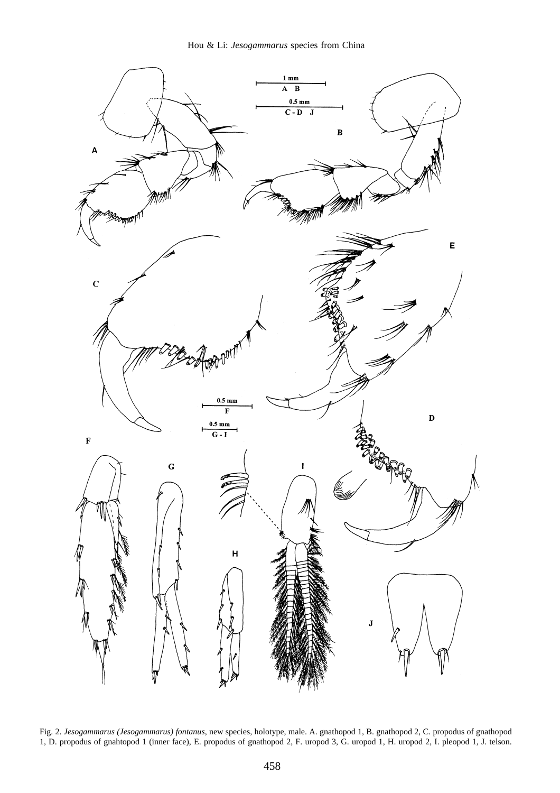

Fig. 2. *Jesogammarus (Jesogammarus) fontanus*, new species, holotype, male. A. gnathopod 1, B. gnathopod 2, C. propodus of gnathopod 1, D. propodus of gnahtopod 1 (inner face), E. propodus of gnathopod 2, F. uropod 3, G. uropod 1, H. uropod 2, I. pleopod 1, J. telson.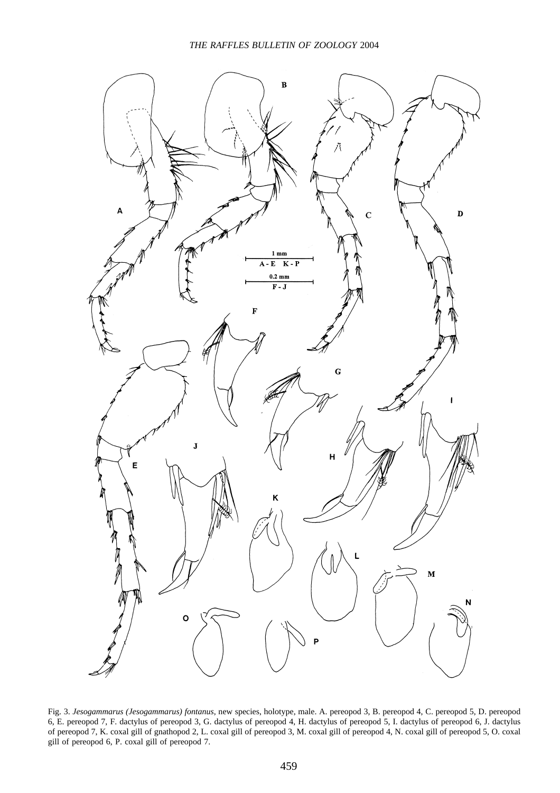

Fig. 3. *Jesogammarus (Jesogammarus) fontanus*, new species, holotype, male. A. pereopod 3, B. pereopod 4, C. pereopod 5, D. pereopod 6, E. pereopod 7, F. dactylus of pereopod 3, G. dactylus of pereopod 4, H. dactylus of pereopod 5, I. dactylus of pereopod 6, J. dactylus of pereopod 7, K. coxal gill of gnathopod 2, L. coxal gill of pereopod 3, M. coxal gill of pereopod 4, N. coxal gill of pereopod 5, O. coxal gill of pereopod 6, P. coxal gill of pereopod 7.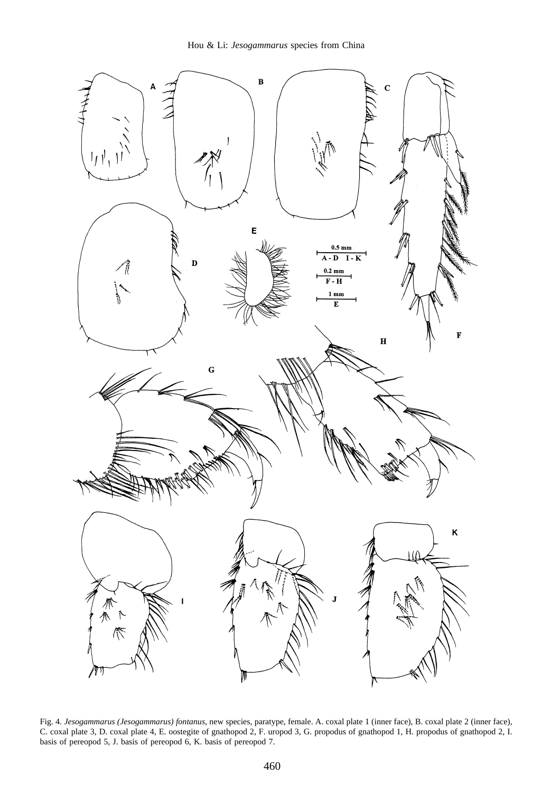

Fig. 4. *Jesogammarus (Jesogammarus) fontanus*, new species, paratype, female. A. coxal plate 1 (inner face), B. coxal plate 2 (inner face), C. coxal plate 3, D. coxal plate 4, E. oostegite of gnathopod 2, F. uropod 3, G. propodus of gnathopod 1, H. propodus of gnathopod 2, I. basis of pereopod 5, J. basis of pereopod 6, K. basis of pereopod 7.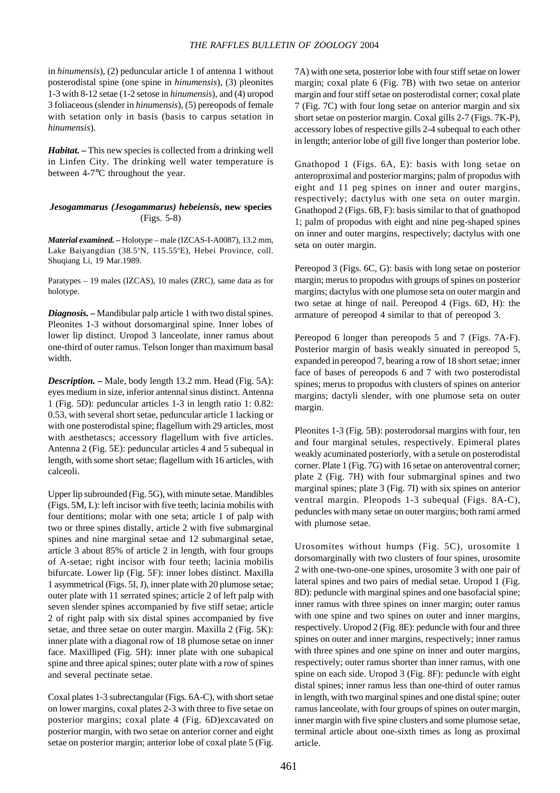in *hinumensis*), (2) peduncular article 1 of antenna 1 without posterodistal spine (one spine in *hinumensis*), (3) pleonites 1-3 with 8-12 setae (1-2 setose in *hinumensis*), and (4) uropod 3 foliaceous (slender in *hinumensis*), (5) pereopods of female with setation only in basis (basis to carpus setation in *hinumensis*).

*Habitat. –* This new species is collected from a drinking well in Linfen City. The drinking well water temperature is between 4-7°C throughout the year.

## *Jesogammarus (Jesogammarus) hebeiensis***, new species** (Figs. 5-8)

*Material examined. –* Holotype – male (IZCAS-I-A0087), 13.2 mm, Lake Baiyangdian (38.5°N, 115.55°E), Hebei Province, coll. Shuqiang Li, 19 Mar.1989.

Paratypes – 19 males (IZCAS), 10 males (ZRC), same data as for holotype.

*Diagnosis.* **–** Mandibular palp article 1 with two distal spines. Pleonites 1-3 without dorsomarginal spine. Inner lobes of lower lip distinct. Uropod 3 lanceolate, inner ramus about one-third of outer ramus. Telson longer than maximum basal width.

*Description.* **–** Male, body length 13.2 mm. Head (Fig. 5A): eyes medium in size, inferior antennal sinus distinct. Antenna 1 (Fig. 5D): peduncular articles 1-3 in length ratio 1: 0.82: 0.53, with several short setae, peduncular article 1 lacking or with one posterodistal spine; flagellum with 29 articles, most with aesthetascs; accessory flagellum with five articles. Antenna 2 (Fig. 5E): peduncular articles 4 and 5 subequal in length, with some short setae; flagellum with 16 articles, with calceoli.

Upper lip subrounded (Fig. 5G), with minute setae. Mandibles (Figs. 5M, L): left incisor with five teeth; lacinia mobilis with four dentitions; molar with one seta; article 1 of palp with two or three spines distally, article 2 with five submarginal spines and nine marginal setae and 12 submarginal setae, article 3 about 85% of article 2 in length, with four groups of A-setae; right incisor with four teeth; lacinia mobilis bifurcate. Lower lip (Fig. 5F): inner lobes distinct. Maxilla 1 asymmetrical (Figs. 5I, J), inner plate with 20 plumose setae; outer plate with 11 serrated spines; article 2 of left palp with seven slender spines accompanied by five stiff setae; article 2 of right palp with six distal spines accompanied by five setae, and three setae on outer margin. Maxilla 2 (Fig. 5K): inner plate with a diagonal row of 18 plumose setae on inner face. Maxilliped (Fig. 5H): inner plate with one subapical spine and three apical spines; outer plate with a row of spines and several pectinate setae.

Coxal plates 1-3 subrectangular (Figs. 6A-C), with short setae on lower margins, coxal plates 2-3 with three to five setae on posterior margins; coxal plate 4 (Fig. 6D)excavated on posterior margin, with two setae on anterior corner and eight setae on posterior margin; anterior lobe of coxal plate 5 (Fig. 7A) with one seta, posterior lobe with four stiff setae on lower margin; coxal plate 6 (Fig. 7B) with two setae on anterior margin and four stiff setae on posterodistal corner; coxal plate 7 (Fig. 7C) with four long setae on anterior margin and six short setae on posterior margin. Coxal gills 2-7 (Figs. 7K-P), accessory lobes of respective gills 2-4 subequal to each other in length; anterior lobe of gill five longer than posterior lobe.

Gnathopod 1 (Figs. 6A, E): basis with long setae on anteroproximal and posterior margins; palm of propodus with eight and 11 peg spines on inner and outer margins, respectively; dactylus with one seta on outer margin. Gnathopod 2 (Figs. 6B, F): basis similar to that of gnathopod 1; palm of propodus with eight and nine peg-shaped spines on inner and outer margins, respectively; dactylus with one seta on outer margin.

Pereopod 3 (Figs. 6C, G): basis with long setae on posterior margin; merus to propodus with groups of spines on posterior margins; dactylus with one plumose seta on outer margin and two setae at hinge of nail. Pereopod 4 (Figs. 6D, H): the armature of pereopod 4 similar to that of pereopod 3.

Pereopod 6 longer than pereopods 5 and 7 (Figs. 7A-F). Posterior margin of basis weakly sinuated in pereopod 5, expanded in pereopod 7, bearing a row of 18 short setae; inner face of bases of pereopods 6 and 7 with two posterodistal spines; merus to propodus with clusters of spines on anterior margins; dactyli slender, with one plumose seta on outer margin.

Pleonites 1-3 (Fig. 5B): posterodorsal margins with four, ten and four marginal setules, respectively. Epimeral plates weakly acuminated posteriorly, with a setule on posterodistal corner. Plate 1 (Fig. 7G) with 16 setae on anteroventral corner; plate 2 (Fig. 7H) with four submarginal spines and two marginal spines; plate 3 (Fig. 7I) with six spines on anterior ventral margin. Pleopods 1-3 subequal (Figs. 8A-C), peduncles with many setae on outer margins; both rami armed with plumose setae.

Urosomites without humps (Fig. 5C), urosomite 1 dorsomarginally with two clusters of four spines, urosomite 2 with one-two-one-one spines, urosomite 3 with one pair of lateral spines and two pairs of medial setae. Uropod 1 (Fig. 8D): peduncle with marginal spines and one basofacial spine; inner ramus with three spines on inner margin; outer ramus with one spine and two spines on outer and inner margins, respectively. Uropod 2 (Fig. 8E): peduncle with four and three spines on outer and inner margins, respectively; inner ramus with three spines and one spine on inner and outer margins, respectively; outer ramus shorter than inner ramus, with one spine on each side. Uropod 3 (Fig. 8F): peduncle with eight distal spines; inner ramus less than one-third of outer ramus in length, with two marginal spines and one distal spine; outer ramus lanceolate, with four groups of spines on outer margin, inner margin with five spine clusters and some plumose setae, terminal article about one-sixth times as long as proximal article.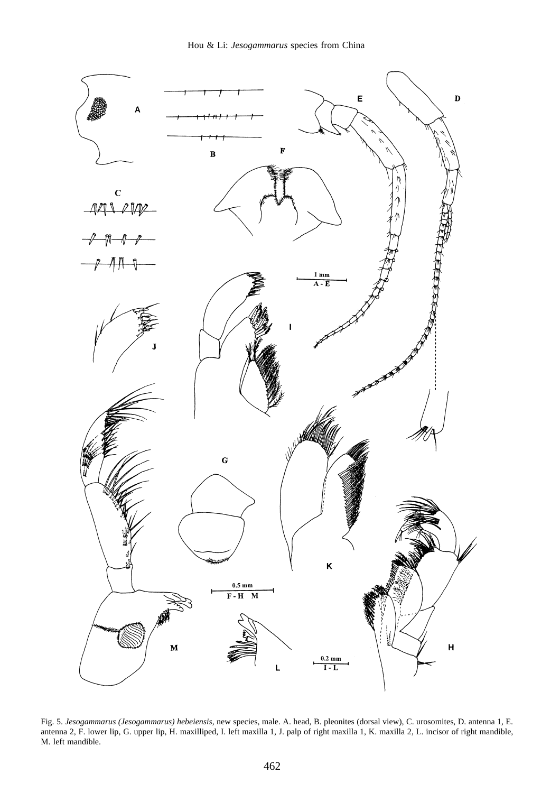

Fig. 5. *Jesogammarus (Jesogammarus) hebeiensis*, new species, male. A. head, B. pleonites (dorsal view), C. urosomites, D. antenna 1, E. antenna 2, F. lower lip, G. upper lip, H. maxilliped, I. left maxilla 1, J. palp of right maxilla 1, K. maxilla 2, L. incisor of right mandible, M. left mandible.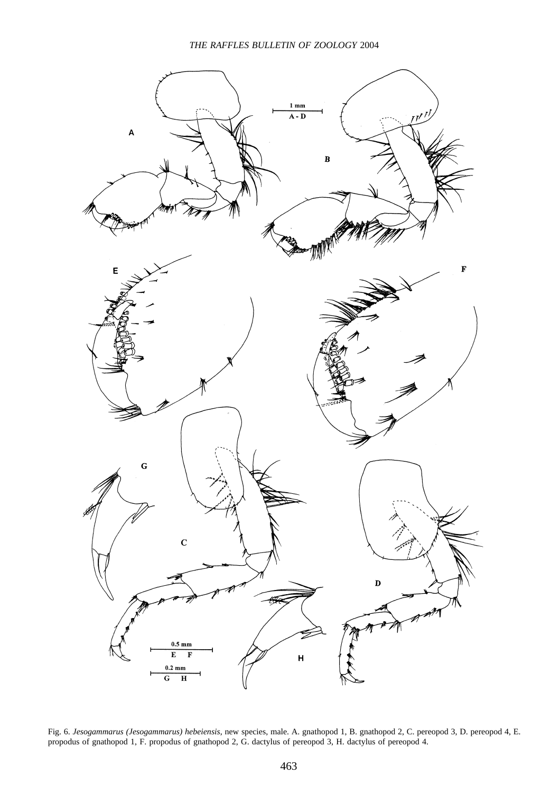

Fig. 6. *Jesogammarus (Jesogammarus) hebeiensis*, new species, male. A. gnathopod 1, B. gnathopod 2, C. pereopod 3, D. pereopod 4, E. propodus of gnathopod 1, F. propodus of gnathopod 2, G. dactylus of pereopod 3, H. dactylus of pereopod 4.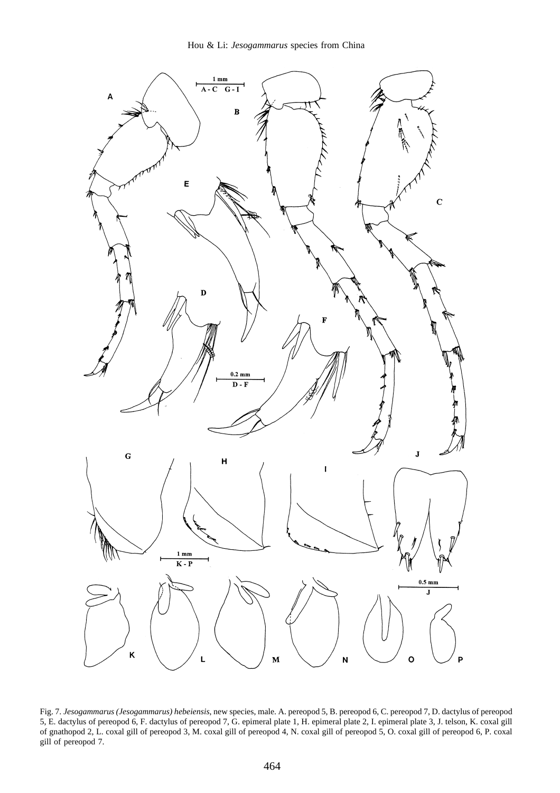

Fig. 7. *Jesogammarus (Jesogammarus) hebeiensis*, new species, male. A. pereopod 5, B. pereopod 6, C. pereopod 7, D. dactylus of pereopod 5, E. dactylus of pereopod 6, F. dactylus of pereopod 7, G. epimeral plate 1, H. epimeral plate 2, I. epimeral plate 3, J. telson, K. coxal gill of gnathopod 2, L. coxal gill of pereopod 3, M. coxal gill of pereopod 4, N. coxal gill of pereopod 5, O. coxal gill of pereopod 6, P. coxal gill of pereopod 7.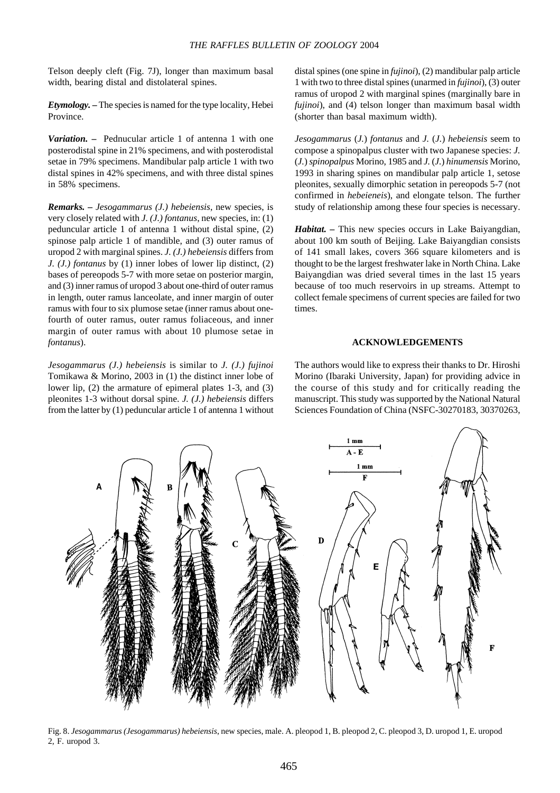Telson deeply cleft (Fig. 7J), longer than maximum basal width, bearing distal and distolateral spines.

*Etymology.* **–** The species is named for the type locality, Hebei Province.

*Variation.* **–** Pednucular article 1 of antenna 1 with one posterodistal spine in 21% specimens, and with posterodistal setae in 79% specimens. Mandibular palp article 1 with two distal spines in 42% specimens, and with three distal spines in 58% specimens.

*Remarks. – Jesogammarus (J.) hebeiensis*, new species, is very closely related with *J. (J.) fontanus*, new species, in: (1) peduncular article 1 of antenna 1 without distal spine, (2) spinose palp article 1 of mandible, and (3) outer ramus of uropod 2 with marginal spines. *J. (J.) hebeiensis* differs from *J. (J.) fontanus* by (1) inner lobes of lower lip distinct, (2) bases of pereopods 5-7 with more setae on posterior margin, and (3) inner ramus of uropod 3 about one-third of outer ramus in length, outer ramus lanceolate, and inner margin of outer ramus with four to six plumose setae (inner ramus about onefourth of outer ramus, outer ramus foliaceous, and inner margin of outer ramus with about 10 plumose setae in *fontanus*).

*Jesogammarus (J.) hebeiensis* is similar to *J. (J.) fujinoi* Tomikawa & Morino, 2003 in (1) the distinct inner lobe of lower lip, (2) the armature of epimeral plates 1-3, and (3) pleonites 1-3 without dorsal spine. *J. (J.) hebeiensis* differs from the latter by (1) peduncular article 1 of antenna 1 without

distal spines (one spine in *fujinoi*), (2) mandibular palp article 1 with two to three distal spines (unarmed in *fujinoi*), (3) outer ramus of uropod 2 with marginal spines (marginally bare in *fujinoi*), and (4) telson longer than maximum basal width (shorter than basal maximum width).

*Jesogammarus* (*J.*) *fontanus* and *J.* (*J.*) *hebeiensis* seem to compose a spinopalpus cluster with two Japanese species: *J.* (*J.*) *spinopalpus* Morino, 1985 and *J.* (*J.*) *hinumensis* Morino, 1993 in sharing spines on mandibular palp article 1, setose pleonites, sexually dimorphic setation in pereopods 5-7 (not confirmed in *hebeieneis*), and elongate telson. The further study of relationship among these four species is necessary.

*Habitat. –* This new species occurs in Lake Baiyangdian, about 100 km south of Beijing. Lake Baiyangdian consists of 141 small lakes, covers 366 square kilometers and is thought to be the largest freshwater lake in North China. Lake Baiyangdian was dried several times in the last 15 years because of too much reservoirs in up streams. Attempt to collect female specimens of current species are failed for two times.

#### **ACKNOWLEDGEMENTS**

The authors would like to express their thanks to Dr. Hiroshi Morino (Ibaraki University, Japan) for providing advice in the course of this study and for critically reading the manuscript. This study was supported by the National Natural Sciences Foundation of China (NSFC-30270183, 30370263,



Fig. 8. *Jesogammarus (Jesogammarus) hebeiensis*, new species, male. A. pleopod 1, B. pleopod 2, C. pleopod 3, D. uropod 1, E. uropod 2, F. uropod 3.